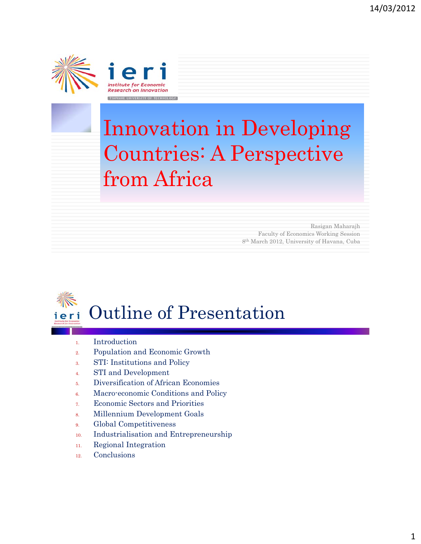



## Innovation in Developing Countries: A Perspective from Africa

Rasigan Maharajh Faculty of Economics Working Session 8th March 2012, University of Havana, Cuba



- 1. Introduction
- 2. Population and Economic Growth
- 3. STI: Institutions and Policy
- 4. STI and Development
- 5. Diversification of African Economies
- 6. Macro-economic Conditions and Policy
- 7. Economic Sectors and Priorities
- 8. Millennium Development Goals
- 9. Global Competitiveness
- 10. Industrialisation and Entrepreneurship
- 11. Regional Integration
- 12. Conclusions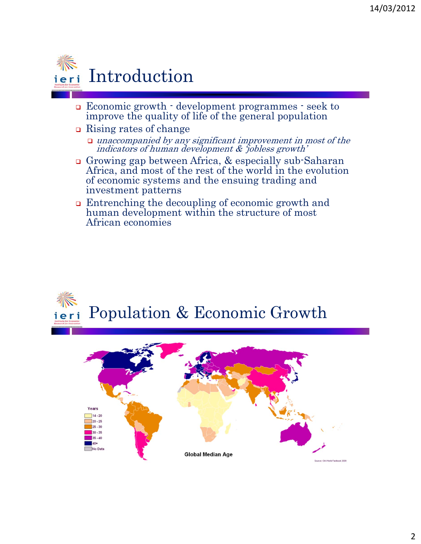

- Economic growth development programmes seek to improve the quality of life of the general population
- **□** Rising rates of change
	- $\Box$  unaccompanied by any significant improvement in most of the indicators of human development & 'jobless growth'
- Growing gap between Africa, & especially sub-Saharan Africa, and most of the rest of the world in the evolution of economic systems and the ensuing trading and investment patterns
- Entrenching the decoupling of economic growth and human development within the structure of most African economies

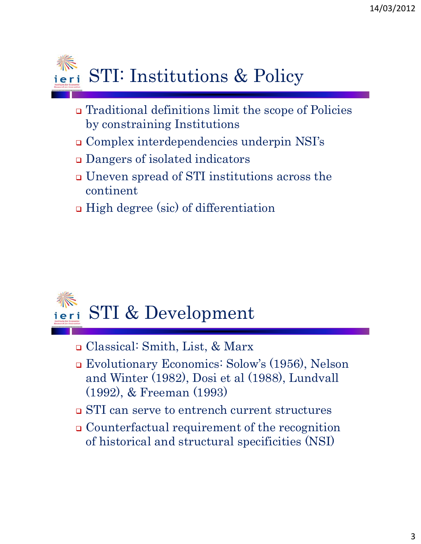

- Traditional definitions limit the scope of Policies by constraining Institutions
- Complex interdependencies underpin NSI's
- Dangers of isolated indicators
- Uneven spread of STI institutions across the continent
- **□** High degree (sic) of differentiation



- Classical: Smith, List, & Marx
- Evolutionary Economics: Solow's (1956), Nelson and Winter (1982), Dosi et al (1988), Lundvall (1992), & Freeman (1993)
- STI can serve to entrench current structures
- Counterfactual requirement of the recognition of historical and structural specificities (NSI)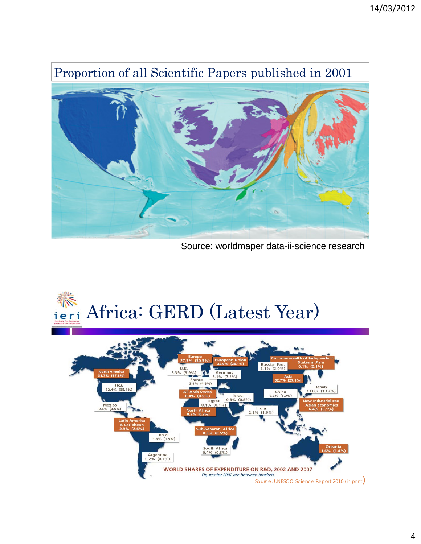## Proportion of all Scientific Papers published in 2001



Source: worldmaper data-ii-science research

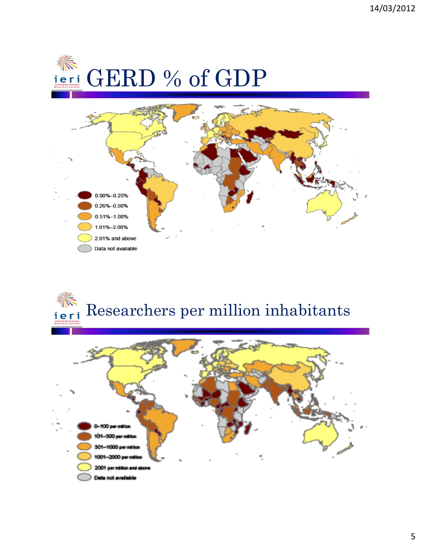



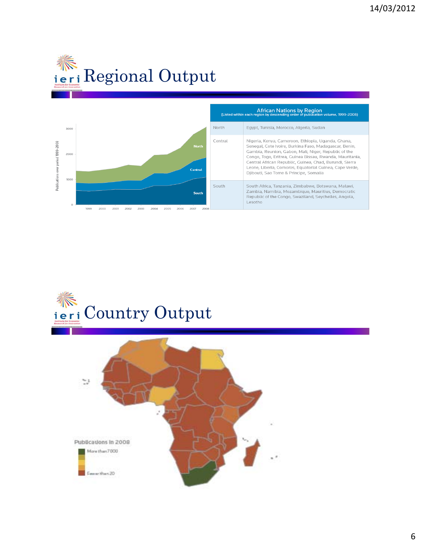





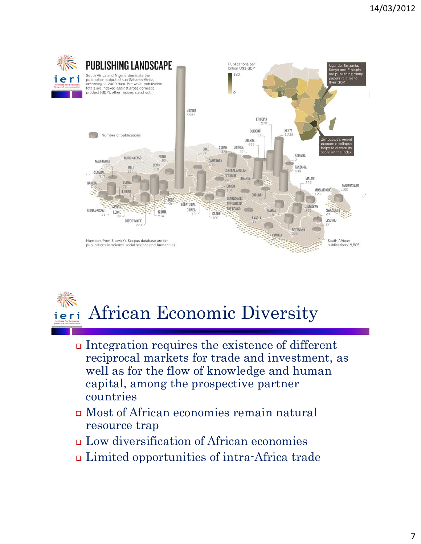



- Integration requires the existence of different reciprocal markets for trade and investment, as well as for the flow of knowledge and human capital, among the prospective partner countries
- Most of African economies remain natural resource trap
- Low diversification of African economies
- Limited opportunities of intra-Africa trade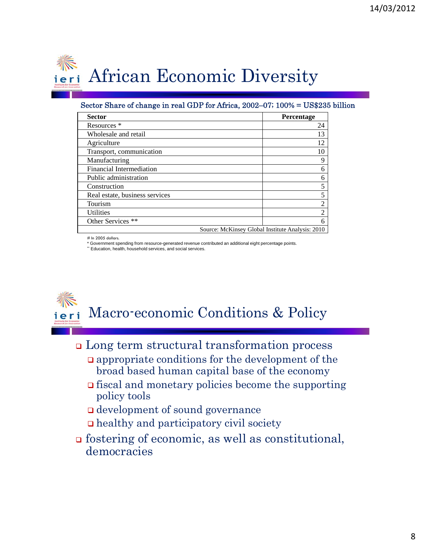

## Sector Share of change in real GDP for Africa, 2002–07; 100% = US\$235 billion

| <b>Sector</b>                  | Percentage                                       |
|--------------------------------|--------------------------------------------------|
| Resources *                    | 24                                               |
| Wholesale and retail           | 13                                               |
| Agriculture                    | 12                                               |
| Transport, communication       | 10                                               |
| Manufacturing                  | 9                                                |
| Financial Intermediation       | 6                                                |
| Public administration          |                                                  |
| Construction                   |                                                  |
| Real estate, business services |                                                  |
| Tourism                        | 2                                                |
| <b>Utilities</b>               | $\mathfrak{D}$                                   |
| Other Services **              | 6                                                |
|                                | Source: McKinsey Global Institute Analysis: 2010 |

# In 2005 dollars.

Government spending from resource-generated revenue contributed an additional eight percentage points.





- Long term structural transformation process
	- appropriate conditions for the development of the broad based human capital base of the economy
	- $\Box$  fiscal and monetary policies become the supporting policy tools
	- development of sound governance
	- $\Box$  healthy and participatory civil society
- fostering of economic, as well as constitutional, democracies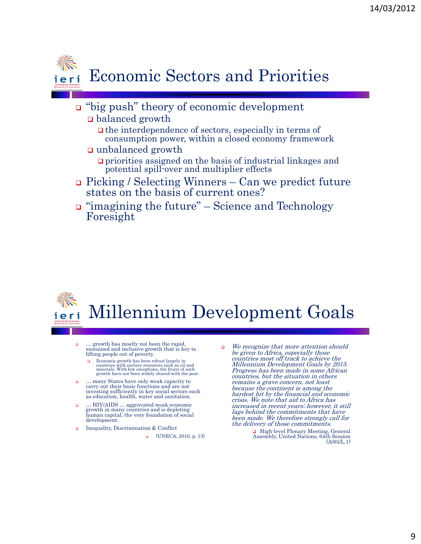

- "big push" theory of economic development
	- balanced growth
		- $\Box$  the interdependence of sectors, especially in terms of consumption power, within a closed economy framework
	- unbalanced growth
		- priorities assigned on the basis of industrial linkages and potential spill-over and multiplier effects
- Picking / Selecting Winners Can we predict future states on the basis of current ones?
- "imagining the future" Science and Technology Foresight



- … growth has mostly not been the rapid, sustained and inclusive growth that is key to lifting people out of poverty.
	- **Exercise** Economic growth has been robust largely in countries with enclave resources such as oil and minerals. With few exceptions, the fruits of such growth have not been widely shared with the poor.
- … many States have only weak capacity to carry out their basic functions and are not investing sufficiently in key social sectors such as education, health, water and sanitation.
- … HIV/AIDS … aggravated weak economic growth in many countries and is depleting human capital, the very foundation of social development.
- Inequality, Discrimination & Conflict
	- (UNECA, 2010, p. 13)
- We recognize that more attention should be given to Africa, especially those countries most off track to achieve the Millennium Development Goals by 2015. Progress has been made in some African countries, but the situation in others remains a grave concern, not least because the continent is among the hardest hit by the financial and economic crisis. We note that aid to Africa has increased in recent years; however, it still lags behind the commitments that have been made. We therefore strongly call for the delivery of those commitments.

□ High-level Plenary Meeting, General Assembly, United Nations, 64th Session (A/65/L.1)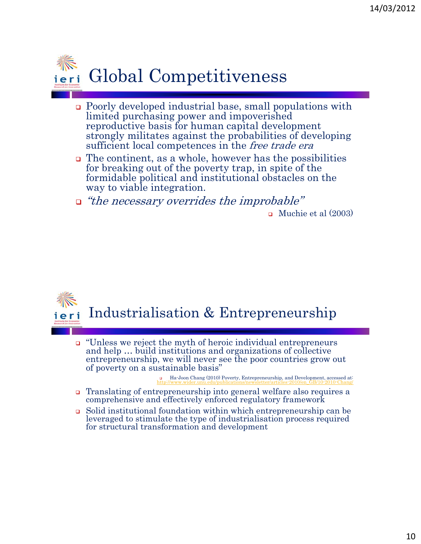

- Poorly developed industrial base, small populations with limited purchasing power and impoverished reproductive basis for human capital development strongly militates against the probabilities of developing sufficient local competences in the *free trade era*
- $\Box$  The continent, as a whole, however has the possibilities for breaking out of the poverty trap, in spite of the formidable political and institutional obstacles on the way to viable integration.
- $\Box$  "the necessary overrides the improbable"

 $\Box$  Muchie et al (2003)



 $\Box$  "Unless we reject the myth of heroic individual entrepreneurs" and help … build institutions and organizations of collective entrepreneurship, we will never see the poor countries grow out of poverty on a sustainable basis"

> Ha-Joon Chang (2010) Poverty, Entrepreneurship, and Development, accessed at: http://www.wider.unu.edu/publications/newsletter/articles-2010/en\_GB/10-2010-Chang/

- Translating of entrepreneurship into general welfare also requires a comprehensive and effectively enforced regulatory framework
- Solid institutional foundation within which entrepreneurship can be leveraged to stimulate the type of industrialisation process required for structural transformation and development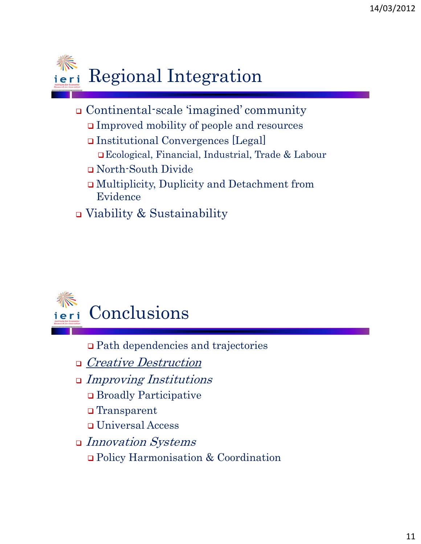

- Continental-scale 'imagined' community
	- Improved mobility of people and resources
	- Institutional Convergences [Legal] Ecological, Financial, Industrial, Trade & Labour
	- North-South Divide
	- Multiplicity, Duplicity and Detachment from Evidence
- Viability & Sustainability



Path dependencies and trajectories

- □ *Creative Destruction*
- Improving Institutions
	- Broadly Participative
	- Transparent
	- Universal Access
- Innovation Systems
	- Policy Harmonisation & Coordination